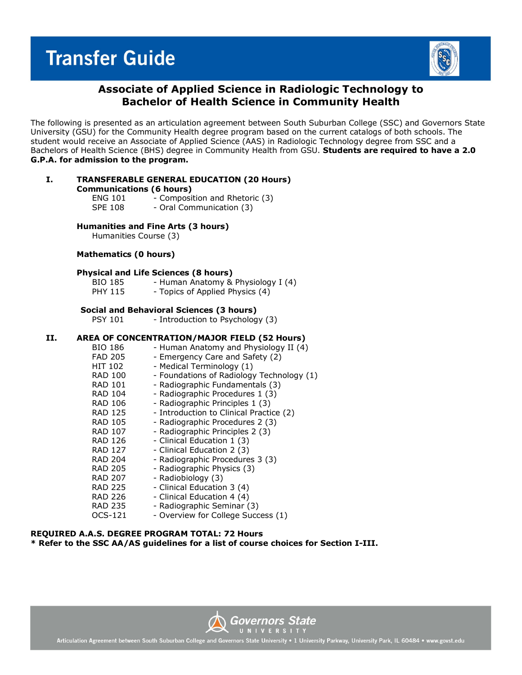## **Transfer Guide**



## **Associate of Applied Science in Radiologic Technology to Bachelor of Health Science in Community Health**

The following is presented as an articulation agreement between South Suburban College (SSC) and Governors State University (GSU) for the Community Health degree program based on the current catalogs of both schools. The student would receive an Associate of Applied Science (AAS) in Radiologic Technology degree from SSC and a Bachelors of Health Science (BHS) degree in Community Health from GSU. **Students are required to have a 2.0 G.P.A. for admission to the program.**

|     | <b>Communications (6 hours)</b><br>SPE 108 | ENG 101 - Composition and Rhetoric (3)<br>- Oral Communication (3)                                                   |
|-----|--------------------------------------------|----------------------------------------------------------------------------------------------------------------------|
|     | Humanities Course (3)                      | Humanities and Fine Arts (3 hours)                                                                                   |
|     | Mathematics (0 hours)                      |                                                                                                                      |
|     | BIO 185<br><b>PHY 115</b>                  | <b>Physical and Life Sciences (8 hours)</b><br>- Human Anatomy & Physiology I (4)<br>- Topics of Applied Physics (4) |
|     | PSY 101                                    | Social and Behavioral Sciences (3 hours)<br>- Introduction to Psychology (3)                                         |
| II. | RIO 186 — I                                | AREA OF CONCENTRATION/MAJOR FIELD (52 Hours<br>- Human Anatomy and Physiology II (                                   |

**I. TRANSFERABLE GENERAL EDUCATION (20 Hours)**

#### **II. AREA OF CONCENTRATION/MAJOR FIELD (52 Hours)**

| BIO 186        | - Human Anatomy and Physiology II (4)     |
|----------------|-------------------------------------------|
| FAD 205        | - Emergency Care and Safety (2)           |
| HIT 102        | - Medical Terminology (1)                 |
| RAD 100        | - Foundations of Radiology Technology (1) |
| RAD 101        | - Radiographic Fundamentals (3)           |
| RAD 104        | - Radiographic Procedures 1 (3)           |
| RAD 106        | - Radiographic Principles 1 (3)           |
| RAD 125        | - Introduction to Clinical Practice (2)   |
| <b>RAD 105</b> | - Radiographic Procedures 2 (3)           |
| RAD 107        | - Radiographic Principles 2 (3)           |
| RAD 126        | - Clinical Education 1 (3)                |
| <b>RAD 127</b> | - Clinical Education 2 (3)                |
| RAD 204        | - Radiographic Procedures 3 (3)           |
| RAD 205        | - Radiographic Physics (3)                |
| <b>RAD 207</b> | - Radiobiology (3)                        |
| <b>RAD 225</b> | - Clinical Education 3 (4)                |
| RAD 226        | - Clinical Education 4 (4)                |
| <b>RAD 235</b> | - Radiographic Seminar (3)                |
| OCS-121        | - Overview for College Success (1)        |

#### **REQUIRED A.A.S. DEGREE PROGRAM TOTAL: 72 Hours \* Refer to the SSC AA/AS guidelines for a list of course choices for Section I-III.**